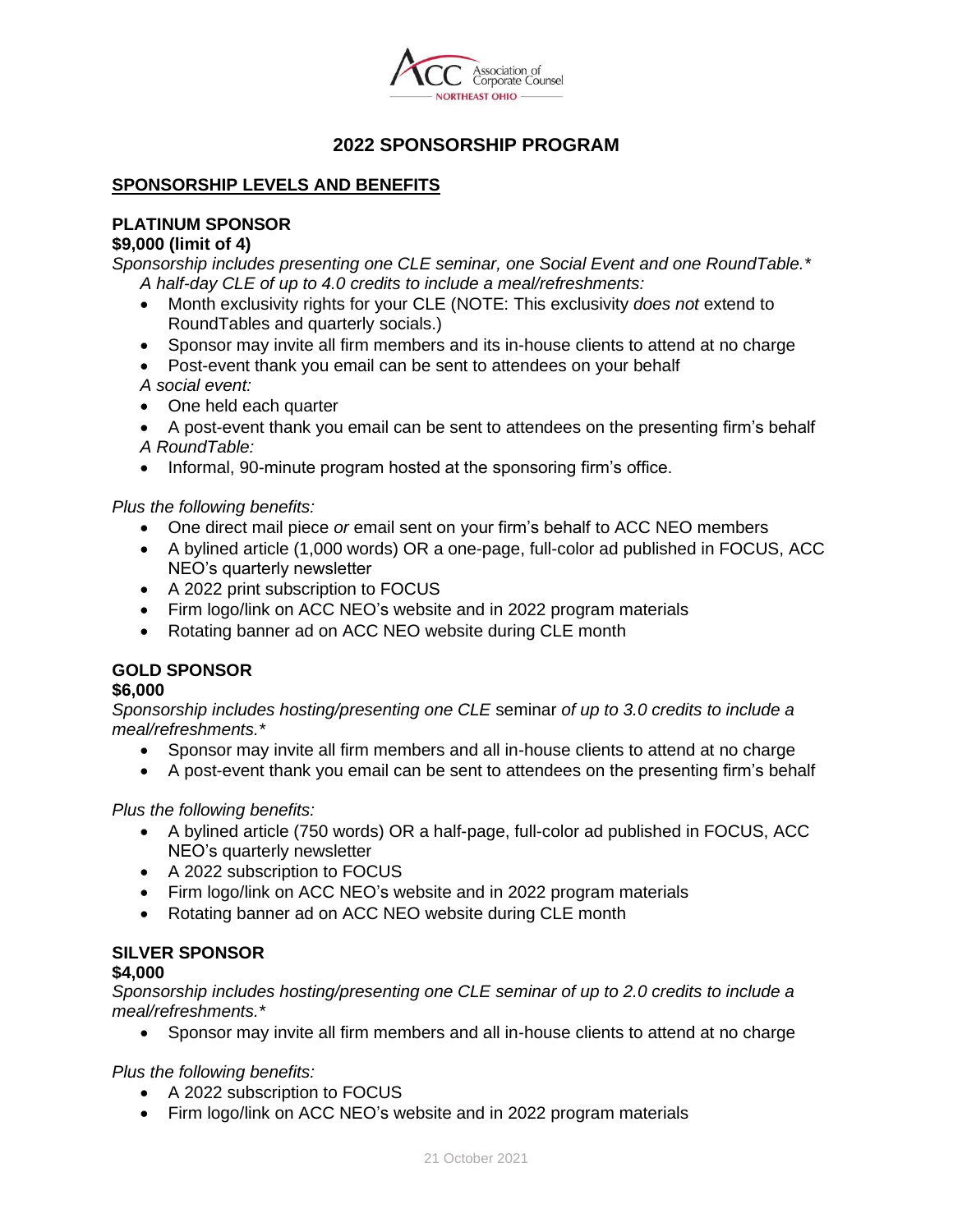

# **2022 SPONSORSHIP PROGRAM**

## **SPONSORSHIP LEVELS AND BENEFITS**

# **PLATINUM SPONSOR**

## **\$9,000 (limit of 4)**

*Sponsorship includes presenting one CLE seminar, one Social Event and one RoundTable.\* A half-day CLE of up to 4.0 credits to include a meal/refreshments:*

- Month exclusivity rights for your CLE (NOTE: This exclusivity *does not* extend to RoundTables and quarterly socials.)
- Sponsor may invite all firm members and its in-house clients to attend at no charge
- Post-event thank you email can be sent to attendees on your behalf *A social event:*
- One held each quarter
- A post-event thank you email can be sent to attendees on the presenting firm's behalf *A RoundTable:*
- Informal, 90-minute program hosted at the sponsoring firm's office.

## *Plus the following benefits:*

- One direct mail piece *or* email sent on your firm's behalf to ACC NEO members
- A bylined article (1,000 words) OR a one-page, full-color ad published in FOCUS, ACC NEO's quarterly newsletter
- A 2022 print subscription to FOCUS
- Firm logo/link on ACC NEO's website and in 2022 program materials
- Rotating banner ad on ACC NEO website during CLE month

# **GOLD SPONSOR**

## **\$6,000**

*Sponsorship includes hosting/presenting one CLE* seminar *of up to 3.0 credits to include a meal/refreshments.\**

- Sponsor may invite all firm members and all in-house clients to attend at no charge
- A post-event thank you email can be sent to attendees on the presenting firm's behalf

## *Plus the following benefits:*

- A bylined article (750 words) OR a half-page, full-color ad published in FOCUS, ACC NEO's quarterly newsletter
- A 2022 subscription to FOCUS
- Firm logo/link on ACC NEO's website and in 2022 program materials
- Rotating banner ad on ACC NEO website during CLE month

## **SILVER SPONSOR**

## **\$4,000**

*Sponsorship includes hosting/presenting one CLE seminar of up to 2.0 credits to include a meal/refreshments.\**

• Sponsor may invite all firm members and all in-house clients to attend at no charge

## *Plus the following benefits:*

- A 2022 subscription to FOCUS
- Firm logo/link on ACC NEO's website and in 2022 program materials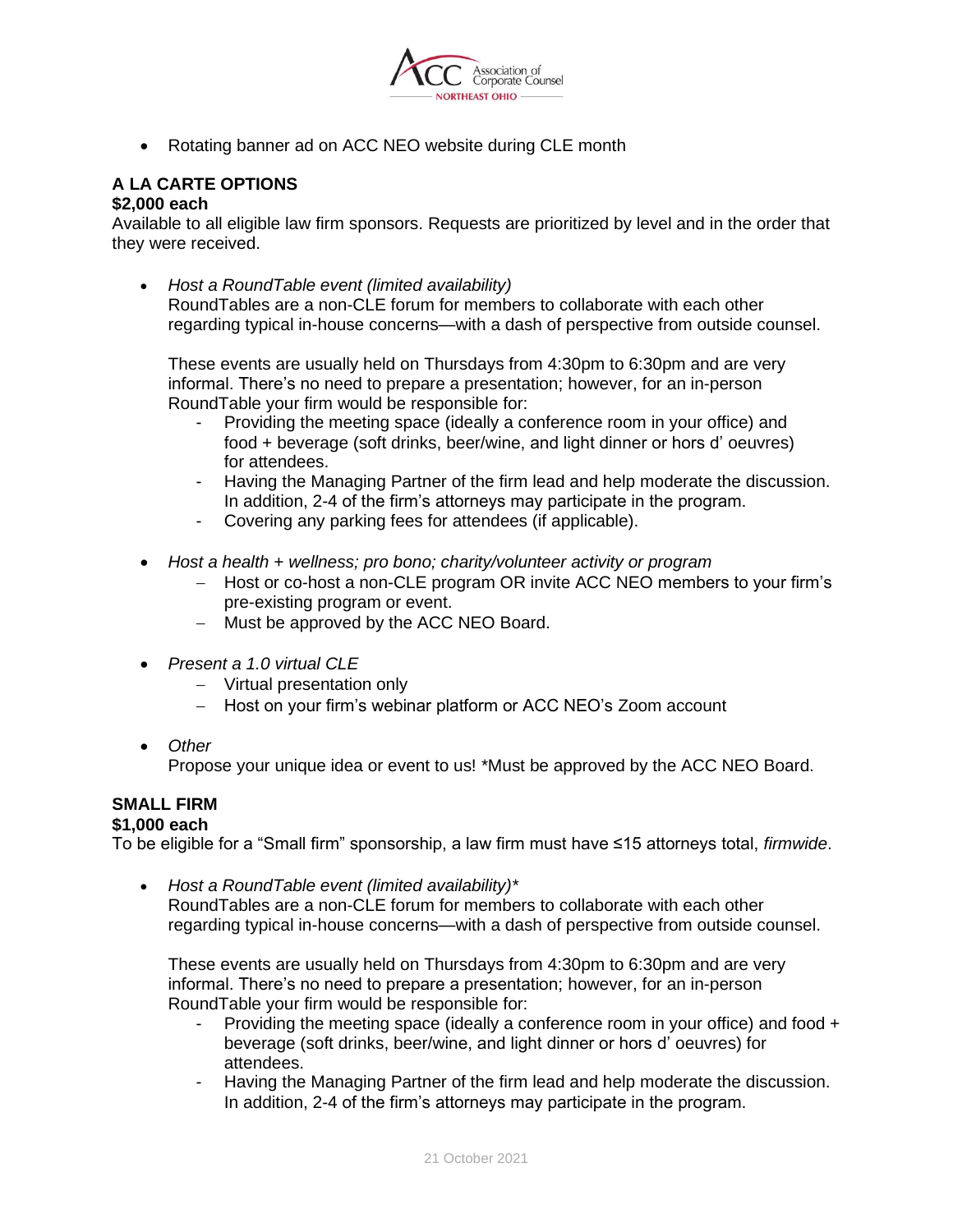

• Rotating banner ad on ACC NEO website during CLE month

# **A LA CARTE OPTIONS**

## **\$2,000 each**

Available to all eligible law firm sponsors. Requests are prioritized by level and in the order that they were received.

• *Host a RoundTable event (limited availability)* RoundTables are a non-CLE forum for members to collaborate with each other regarding typical in-house concerns—with a dash of perspective from outside counsel.

These events are usually held on Thursdays from 4:30pm to 6:30pm and are very informal. There's no need to prepare a presentation; however, for an in-person RoundTable your firm would be responsible for:

- Providing the meeting space (ideally a conference room in your office) and food + beverage (soft drinks, beer/wine, and light dinner or hors d' oeuvres) for attendees.
- Having the Managing Partner of the firm lead and help moderate the discussion. In addition, 2-4 of the firm's attorneys may participate in the program.
- Covering any parking fees for attendees (if applicable).
- *Host a health + wellness; pro bono; charity/volunteer activity or program*
	- − Host or co-host a non-CLE program OR invite ACC NEO members to your firm's pre-existing program or event.
	- − Must be approved by the ACC NEO Board.
- *Present a 1.0 virtual CLE*
	- − Virtual presentation only
	- − Host on your firm's webinar platform or ACC NEO's Zoom account
- *Other*

Propose your unique idea or event to us! \*Must be approved by the ACC NEO Board.

## **SMALL FIRM**

## **\$1,000 each**

To be eligible for a "Small firm" sponsorship, a law firm must have ≤15 attorneys total, *firmwide*.

• *Host a RoundTable event (limited availability)\** RoundTables are a non-CLE forum for members to collaborate with each other regarding typical in-house concerns—with a dash of perspective from outside counsel.

These events are usually held on Thursdays from 4:30pm to 6:30pm and are very informal. There's no need to prepare a presentation; however, for an in-person RoundTable your firm would be responsible for:

- Providing the meeting space (ideally a conference room in your office) and food  $+$ beverage (soft drinks, beer/wine, and light dinner or hors d' oeuvres) for attendees.
- Having the Managing Partner of the firm lead and help moderate the discussion. In addition, 2-4 of the firm's attorneys may participate in the program.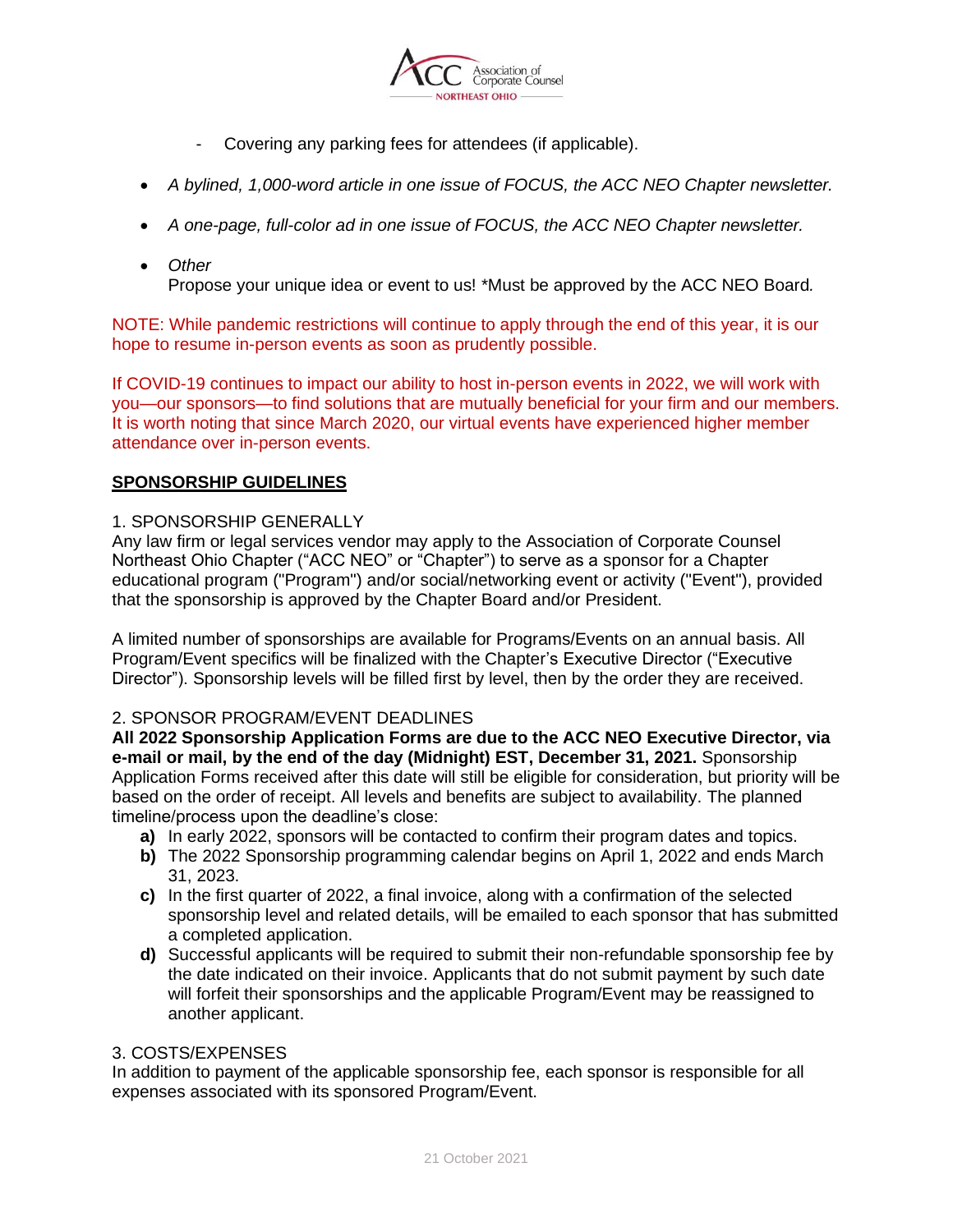

- Covering any parking fees for attendees (if applicable).
- *A bylined, 1,000-word article in one issue of FOCUS, the ACC NEO Chapter newsletter.*
- *A one-page, full-color ad in one issue of FOCUS, the ACC NEO Chapter newsletter.*
- *Other*

Propose your unique idea or event to us! \*Must be approved by the ACC NEO Board*.*

NOTE: While pandemic restrictions will continue to apply through the end of this year, it is our hope to resume in-person events as soon as prudently possible.

If COVID-19 continues to impact our ability to host in-person events in 2022, we will work with you—our sponsors—to find solutions that are mutually beneficial for your firm and our members. It is worth noting that since March 2020, our virtual events have experienced higher member attendance over in-person events.

## **SPONSORSHIP GUIDELINES**

## 1. SPONSORSHIP GENERALLY

Any law firm or legal services vendor may apply to the Association of Corporate Counsel Northeast Ohio Chapter ("ACC NEO" or "Chapter") to serve as a sponsor for a Chapter educational program ("Program") and/or social/networking event or activity ("Event"), provided that the sponsorship is approved by the Chapter Board and/or President.

A limited number of sponsorships are available for Programs/Events on an annual basis. All Program/Event specifics will be finalized with the Chapter's Executive Director ("Executive Director"). Sponsorship levels will be filled first by level, then by the order they are received.

## 2. SPONSOR PROGRAM/EVENT DEADLINES

**All 2022 Sponsorship Application Forms are due to the ACC NEO Executive Director, via e-mail or mail, by the end of the day (Midnight) EST, December 31, 2021.** Sponsorship Application Forms received after this date will still be eligible for consideration, but priority will be based on the order of receipt. All levels and benefits are subject to availability. The planned timeline/process upon the deadline's close:

- **a)** In early 2022, sponsors will be contacted to confirm their program dates and topics.
- **b)** The 2022 Sponsorship programming calendar begins on April 1, 2022 and ends March 31, 2023.
- **c)** In the first quarter of 2022, a final invoice, along with a confirmation of the selected sponsorship level and related details, will be emailed to each sponsor that has submitted a completed application.
- **d)** Successful applicants will be required to submit their non-refundable sponsorship fee by the date indicated on their invoice. Applicants that do not submit payment by such date will forfeit their sponsorships and the applicable Program/Event may be reassigned to another applicant.

## 3. COSTS/EXPENSES

In addition to payment of the applicable sponsorship fee, each sponsor is responsible for all expenses associated with its sponsored Program/Event.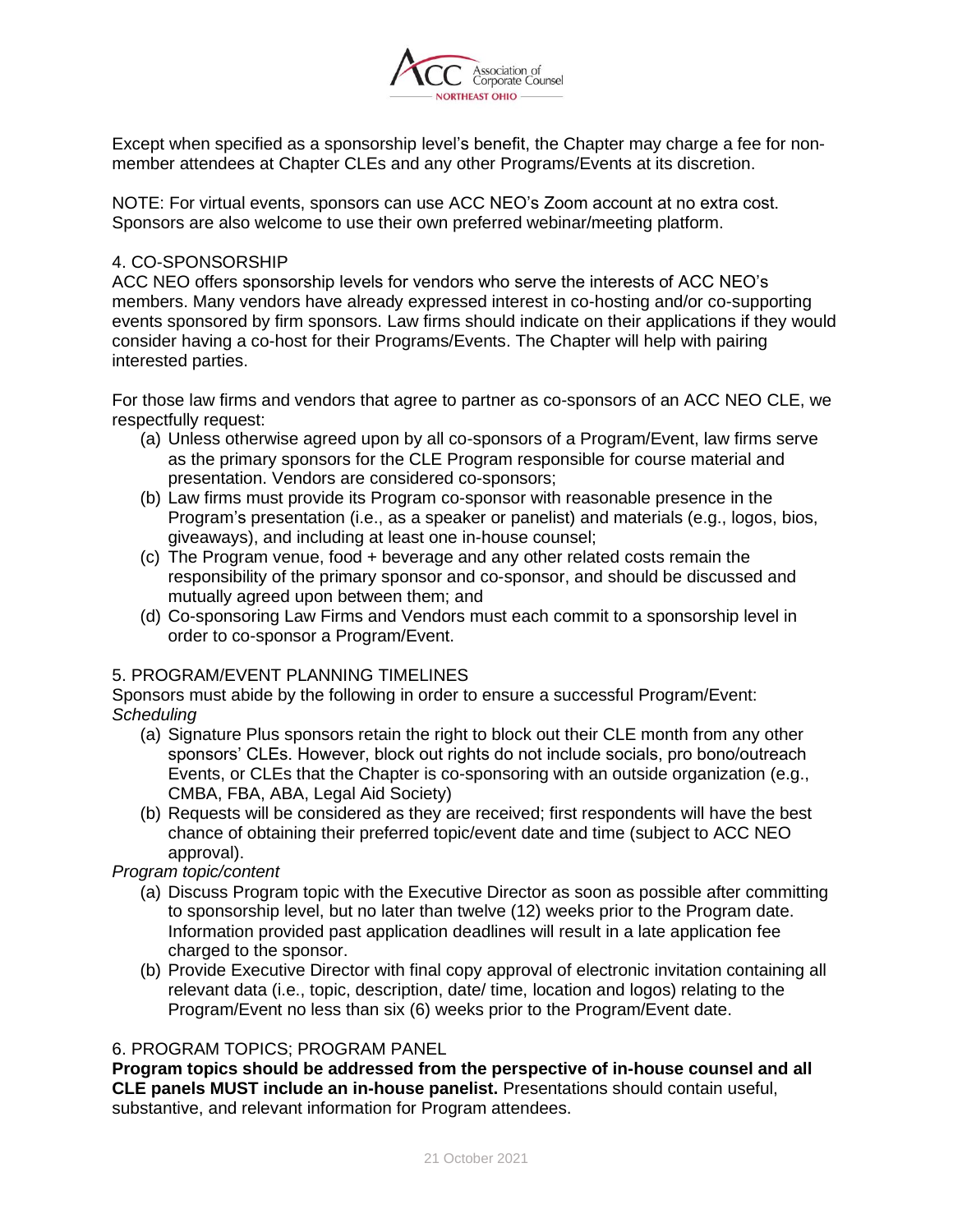

Except when specified as a sponsorship level's benefit, the Chapter may charge a fee for nonmember attendees at Chapter CLEs and any other Programs/Events at its discretion.

NOTE: For virtual events, sponsors can use ACC NEO's Zoom account at no extra cost. Sponsors are also welcome to use their own preferred webinar/meeting platform.

## 4. CO-SPONSORSHIP

ACC NEO offers sponsorship levels for vendors who serve the interests of ACC NEO's members. Many vendors have already expressed interest in co-hosting and/or co-supporting events sponsored by firm sponsors. Law firms should indicate on their applications if they would consider having a co-host for their Programs/Events. The Chapter will help with pairing interested parties.

For those law firms and vendors that agree to partner as co-sponsors of an ACC NEO CLE, we respectfully request:

- (a) Unless otherwise agreed upon by all co-sponsors of a Program/Event, law firms serve as the primary sponsors for the CLE Program responsible for course material and presentation. Vendors are considered co-sponsors;
- (b) Law firms must provide its Program co-sponsor with reasonable presence in the Program's presentation (i.e., as a speaker or panelist) and materials (e.g., logos, bios, giveaways), and including at least one in-house counsel;
- (c) The Program venue, food + beverage and any other related costs remain the responsibility of the primary sponsor and co-sponsor, and should be discussed and mutually agreed upon between them; and
- (d) Co-sponsoring Law Firms and Vendors must each commit to a sponsorship level in order to co-sponsor a Program/Event.

## 5. PROGRAM/EVENT PLANNING TIMELINES

Sponsors must abide by the following in order to ensure a successful Program/Event: *Scheduling*

- (a) Signature Plus sponsors retain the right to block out their CLE month from any other sponsors' CLEs. However, block out rights do not include socials, pro bono/outreach Events, or CLEs that the Chapter is co-sponsoring with an outside organization (e.g., CMBA, FBA, ABA, Legal Aid Society)
- (b) Requests will be considered as they are received; first respondents will have the best chance of obtaining their preferred topic/event date and time (subject to ACC NEO approval).

*Program topic/content*

- (a) Discuss Program topic with the Executive Director as soon as possible after committing to sponsorship level, but no later than twelve (12) weeks prior to the Program date. Information provided past application deadlines will result in a late application fee charged to the sponsor.
- (b) Provide Executive Director with final copy approval of electronic invitation containing all relevant data (i.e., topic, description, date/ time, location and logos) relating to the Program/Event no less than six (6) weeks prior to the Program/Event date.

## 6. PROGRAM TOPICS; PROGRAM PANEL

**Program topics should be addressed from the perspective of in-house counsel and all CLE panels MUST include an in-house panelist.** Presentations should contain useful, substantive, and relevant information for Program attendees.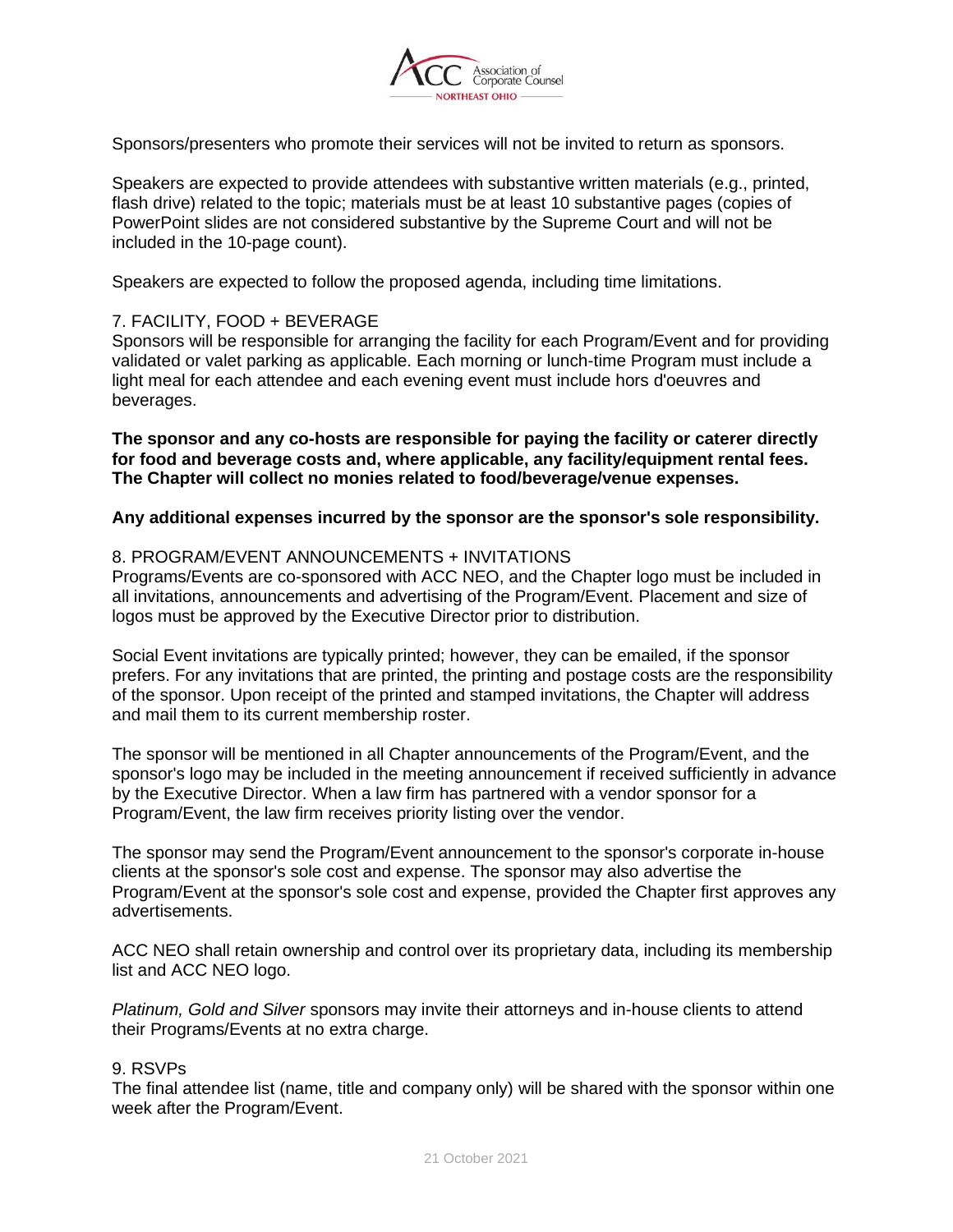

Sponsors/presenters who promote their services will not be invited to return as sponsors.

Speakers are expected to provide attendees with substantive written materials (e.g., printed, flash drive) related to the topic; materials must be at least 10 substantive pages (copies of PowerPoint slides are not considered substantive by the Supreme Court and will not be included in the 10-page count).

Speakers are expected to follow the proposed agenda, including time limitations.

## 7. FACILITY, FOOD + BEVERAGE

Sponsors will be responsible for arranging the facility for each Program/Event and for providing validated or valet parking as applicable. Each morning or lunch-time Program must include a light meal for each attendee and each evening event must include hors d'oeuvres and beverages.

**The sponsor and any co-hosts are responsible for paying the facility or caterer directly for food and beverage costs and, where applicable, any facility/equipment rental fees. The Chapter will collect no monies related to food/beverage/venue expenses.** 

#### **Any additional expenses incurred by the sponsor are the sponsor's sole responsibility.**

#### 8. PROGRAM/EVENT ANNOUNCEMENTS + INVITATIONS

Programs/Events are co-sponsored with ACC NEO, and the Chapter logo must be included in all invitations, announcements and advertising of the Program/Event. Placement and size of logos must be approved by the Executive Director prior to distribution.

Social Event invitations are typically printed; however, they can be emailed, if the sponsor prefers. For any invitations that are printed, the printing and postage costs are the responsibility of the sponsor. Upon receipt of the printed and stamped invitations, the Chapter will address and mail them to its current membership roster.

The sponsor will be mentioned in all Chapter announcements of the Program/Event, and the sponsor's logo may be included in the meeting announcement if received sufficiently in advance by the Executive Director. When a law firm has partnered with a vendor sponsor for a Program/Event, the law firm receives priority listing over the vendor.

The sponsor may send the Program/Event announcement to the sponsor's corporate in-house clients at the sponsor's sole cost and expense. The sponsor may also advertise the Program/Event at the sponsor's sole cost and expense, provided the Chapter first approves any advertisements.

ACC NEO shall retain ownership and control over its proprietary data, including its membership list and ACC NEO logo.

*Platinum, Gold and Silver* sponsors may invite their attorneys and in-house clients to attend their Programs/Events at no extra charge.

## 9. RSVPs

The final attendee list (name, title and company only) will be shared with the sponsor within one week after the Program/Event.